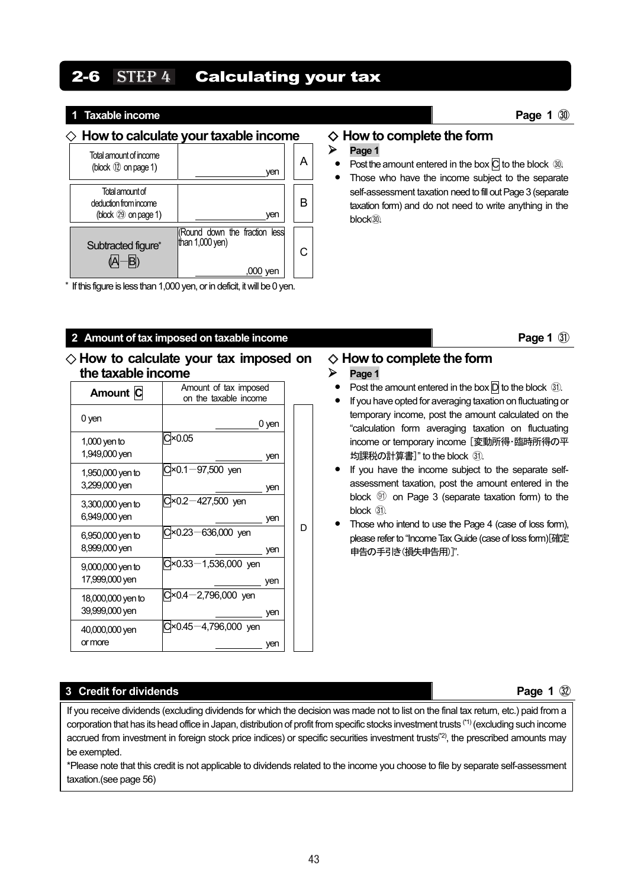# $2-6$  STEP 4 Calculating your tax

#### **1 Taxable income Page 1 1 Page 1 D**

#### ◇ **How to calculate your taxable income**

| Total amount of income<br>(block 12 on page 1)                       | ven                                                      |  |
|----------------------------------------------------------------------|----------------------------------------------------------|--|
| Total amount of<br>deduction from income<br>(block $(29)$ on page 1) | ven                                                      |  |
| Subtracted figure*                                                   | Round down the fraction less<br>than $1,000$ yen)<br>ven |  |

\* If this figure is less than 1,000 yen, or in deficit, it will be 0 yen.

#### **2** Amount of tax imposed on taxable income **Page 1 Page 1 Page 1 Page 1 Page 1 Page 1 Page 1 Page 1 Page 1 Page 1 Page 1 Page 1 Page 1 Page 1 Page 1 Page 1 Page 1 Page 1 Page 1 Page 1**

#### ◇ **How to calculate your tax imposed on the taxable income**

| Amount C                             | Amount of tax imposed<br>on the taxable income |   |
|--------------------------------------|------------------------------------------------|---|
| 0 yen                                | 0 yen                                          |   |
| $1,000$ yen to<br>1,949,000 yen      | ×0.05<br>ven                                   |   |
| 1,950,000 yen to<br>3,299,000 yen    | $×0.1 - 97,500$ yen<br>yen                     |   |
| 3,300,000 yen to<br>6,949,000 yen    | 0×0.2-427,500 yen<br>yen                       |   |
| 6,950,000 yen to<br>8,999,000 yen    | $×0.23 - 636,000$ yen<br>yen                   | D |
| $9,000,000$ yen to<br>17,999,000 yen | $×0.33 - 1,536,000$ yen<br>yen                 |   |
| 18,000,000 yen to<br>39,999,000 yen  | $×0.4 - 2,796,000$ yen<br>yen                  |   |
| 40,000,000 yen<br>or more            | $×0.45 - 4,796,000$ yen<br>ven                 |   |

# ◇ **How to complete the form**  $\triangleright$  Page 1

- **Post the amount entered in the box**  $\overline{C}$  **to the block**  $\Omega$ **.**
- **•** Those who have the income subject to the separate self-assessment taxation need to fill out Page 3 (separate taxation form) and do not need to write anything in the block<sub>(30</sub>)

#### ◇ **How to complete the form**

#### **Page 1**

- **Post the amount entered in the box**  $\overline{D}$  **to the block**  $\Omega$ **.**
- **•** If you have opted for averaging taxation on fluctuating or temporary income, post the amount calculated on the "calculation form averaging taxation on fluctuating income or temporary income [変動所得・臨時所得の平 均課税の計算書]" to the block ㉛.
- **•** If you have the income subject to the separate selfassessment taxation, post the amount entered in the block  $@$  on Page 3 (separate taxation form) to the block  $(31)$ .
- **•** Those who intend to use the Page 4 (case of loss form), please refer to "Income Tax Guide (case of loss form)[確定 申告の手引き(損失申告用)]".

#### **3 Credit for dividends Page 1**  $\mathbb{Q}$

If you receive dividends (excluding dividends for which the decision was made not to list on the final tax return, etc.) paid from a corporation that has its head office in Japan, distribution of profit from specific stocks investment trusts (\*1) (excluding such income accrued from investment in foreign stock price indices) or specific securities investment trusts(\*2), the prescribed amounts may be exempted.

\*Please note that this credit is not applicable to dividends related to the income you choose to file by separate self-assessment taxation.(see page 56)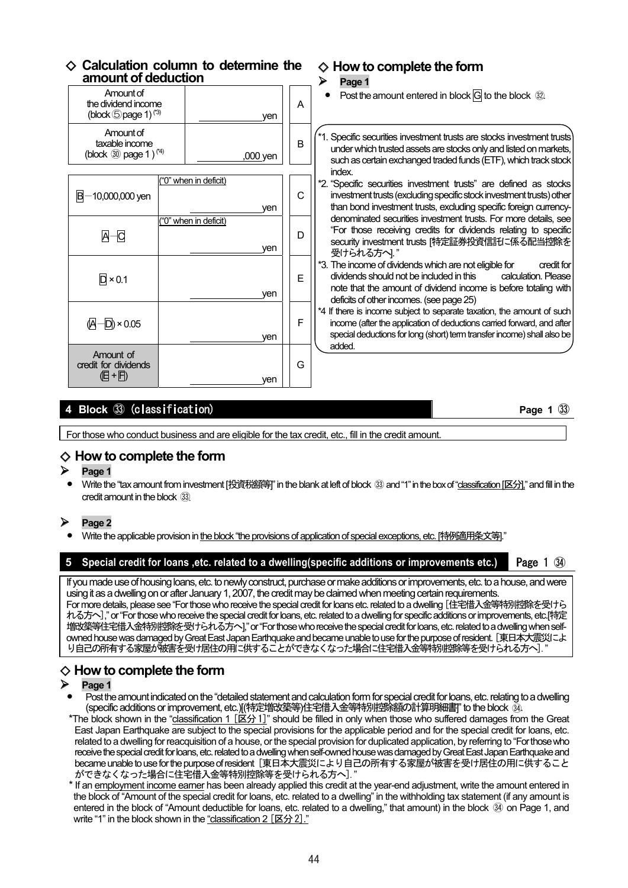# ◇ **Calculation column to determine the amount of deduction**

| amount of deduction                                                          |                       |          |   | ⋗<br>Page 1                                                                                                                                                                                                                                            |
|------------------------------------------------------------------------------|-----------------------|----------|---|--------------------------------------------------------------------------------------------------------------------------------------------------------------------------------------------------------------------------------------------------------|
| Amount of<br>the dividend income<br>(block $\bigcirc$ page 1) <sup>(3)</sup> |                       | ven      | A | Post the amount entered in block $\overline{G}$ to the block $\mathcal{D}$ .                                                                                                                                                                           |
| Amount of<br>taxable income<br>(block $\circled{30}$ page 1) <sup>(*4)</sup> |                       | ,000 yen | B | *1. Specific securities investment trusts are stocks investment trusts<br>under which trusted assets are stocks only and listed on markets,<br>such as certain exchanged traded funds (ETF), which track stock<br>index.                               |
| -10,000,000 yen<br>в                                                         | ("0" when in deficit) | ven      | C | *2. "Specific securities investment trusts" are defined as stocks<br>investment trusts (excluding specific stock investment trusts) other<br>than bond investment trusts, excluding specific foreign currency-                                         |
| $A - C$                                                                      | ("0" when in deficit) | ven      | D | denominated securities investment trusts. For more details, see<br>"For those receiving credits for dividends relating to specific<br>security investment trusts [特定証券投資信託に係る配当控除を<br>受けられる方へ!"                                                        |
| $\overline{D}$ × 0.1                                                         |                       | ven      | Е | *3. The income of dividends which are not eligible for<br>credit for<br>dividends should not be included in this<br>calculation. Please<br>note that the amount of dividend income is before totaling with<br>deficits of other incomes. (see page 25) |
| $(A-D) \times 0.05$                                                          |                       | ven      | F | *4 If there is income subject to separate taxation, the amount of such<br>income (after the application of deductions carried forward, and after<br>special deductions for long (short) term transfer income) shall also be<br>added.                  |
| Amount of<br>credit for dividends<br>(E+F)                                   |                       | ven      | G |                                                                                                                                                                                                                                                        |

◇ **How to complete the form** 

# **4 Block** ㉝ (classification) **Page 1** ㉝

For those who conduct business and are eligible for the tax credit, etc., fill in the credit amount.

# ◇ **How to complete the form**

- **Page 1**
- **•** Write the "tax amount from investment [投資税額等]" in the blank at left of block ㉝ and "1" in the box of "classification [区分]," and fill in the credit amount in the block  $(33)$

### **Page 2**

**•** Write the applicable provision in the block "the provisions of application of special exceptions, etc. [特例適用条文等]."

**5** Special credit for loans ,etc. related to a dwelling(specific additions or improvements etc.) Page 1  $\mathcal{D}$ 

If you made use of housing loans, etc. to newly construct, purchase or make additions or improvements, etc. to a house, and were using it as a dwelling on or after January 1, 2007, the credit may be claimed when meeting certain requirements. For more details, please see "For those who receive the special credit for loans etc. related to a dwelling [住宅借入金等特別控除を受けら れる方へ]," or "For those who receive the special credit for loans, etc. related to a dwelling for specific additions or improvements, etc.[特定 増改築等住宅借入金特別控除を受けられる方へ]," or "For those who receive the special credit for loans, etc. related to a dwelling when selfowned house was damaged by Great East Japan Earthquake and became unable to use for the purpose of resident. [東日本大震災によ り自己の所有する家屋が被害を受け居住の用に供することができなくなった場合に住宅借入金等特別控除等を受けられる方へ]."

# ◇ **How to complete the form**

#### **Page 1**

**•** Post the amount indicated on the "detailed statement and calculation form for special credit for loans, etc. relating to a dwelling (specific additions or improvement, etc.)[(特定増改築等)住宅借入金等特別控除額の計算明細書]" to the block . ...

- \*The block shown in the "classification 1 [区分 1]" should be filled in only when those who suffered damages from the Great East Japan Earthquake are subject to the special provisions for the applicable period and for the special credit for loans, etc. related to a dwelling for reacquisition of a house, or the special provision for duplicated application, by referring to "For those who receive the special credit for loans, etc. related to a dwelling when self-owned house was damaged by Great East Japan Earthquake and became unable to use for the purpose of resident [東日本大震災により自己の所有する家屋が被害を受け居住の用に供すること ができなくなった場合に住宅借入金等特別控除等を受けられる方へ]."
- \* If an employment income earner has been already applied this credit at the year-end adjustment, write the amount entered in the block of "Amount of the special credit for loans, etc. related to a dwelling" in the withholding tax statement (if any amount is entered in the block of "Amount deductible for loans, etc. related to a dwelling," that amount) in the block ㉞ on Page 1, and write "1" in the block shown in the "classification 2 [区分 2]."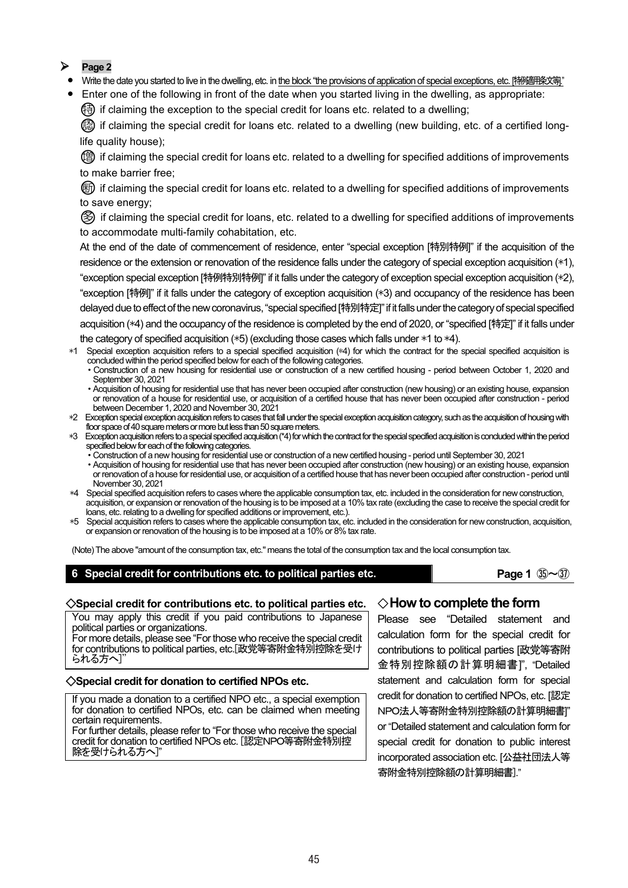# **Page 2**

- Write the date you started to live in the dwelling, etc. in <u>the block "the provisions of application of special exceptions, etc. [特例適用条文等]."</u>
- **•** Enter one of the following in front of the date when you started living in the dwelling, as appropriate:

 $(\frac{4}{3})$  if claiming the exception to the special credit for loans etc. related to a dwelling;

62) if claiming the special credit for loans etc. related to a dwelling (new building, etc. of a certified longlife quality house);

(曾) if claiming the special credit for loans etc. related to a dwelling for specified additions of improvements to make barrier free;

○断 if claiming the special credit for loans etc. related to a dwelling for specified additions of improvements to save energy;

○多 if claiming the special credit for loans, etc. related to a dwelling for specified additions of improvements to accommodate multi-family cohabitation, etc.

At the end of the date of commencement of residence, enter "special exception [特別特例]" if the acquisition of the residence or the extension or renovation of the residence falls under the category of special exception acquisition (\*1), "exception special exception [特例特別特例]" if it falls under the category of exception special exception acquisition (\*2), "exception [特例]" if it falls under the category of exception acquisition (\*3) and occupancy of the residence has been delayed due to effect of the new coronavirus, "special specified [特別特定]" if it falls under the category of special specified acquisition (\*4) and the occupancy of the residence is completed by the end of 2020, or "specified [特定]" if it falls under the category of specified acquisition (\*5) (excluding those cases which falls under \*1 to \*4).

- \*1 Special exception acquisition refers to a special specified acquisition (\*4) for which the contract for the special specified acquisition is concluded within the period specified below for each of the following categories.
	- ・Construction of a new housing for residential use or construction of a new certified housing period between October 1, 2020 and September 30, 2021
	- ・Acquisition of housing for residential use that has never been occupied after construction (new housing) or an existing house, expansion or renovation of a house for residential use, or acquisition of a certified house that has never been occupied after construction - period between December 1, 2020 and November 30, 2021
- \*2 Exception special exception acquisition refers to cases that fall under the special exception acquisition category, such as the acquisition of housing with floor space of 40 square meters or more but less than 50 square meters.
- \*3 Exception acquisition refers to a special specified acquisition (\*4) for which the contract for the special specified acquisition is concluded within the period specified below for each of the following categories.
	- ・Construction of a new housing for residential use or construction of a new certified housing period until September 30, 2021
	- ・Acquisition of housing for residential use that has never been occupied after construction (new housing) or an existing house, expansion or renovation of a house for residential use, or acquisition of a certified house that has never been occupied after construction - period until November 30, 2021
- \*4 Special specified acquisition refers to cases where the applicable consumption tax, etc. included in the consideration for new construction, acquisition, or expansion or renovation of the housing is to be imposed at a 10% tax rate (excluding the case to receive the special credit for loans, etc. relating to a dwelling for specified additions or improvement, etc.).
- \*5 Special acquisition refers to cases where the applicable consumption tax, etc. included in the consideration for new construction, acquisition, or expansion or renovation of the housing is to be imposed at a 10% or 8% tax rate.

(Note) The above "amount of the consumption tax, etc." means the total of the consumption tax and the local consumption tax.

**6** Special credit for contributions etc. to political parties etc. **Page 1**  $\mathbb{R}\sim\mathbb{R}$ 

#### ◇**Special credit for contributions etc. to political parties etc.** ◇**How to complete the form**

You may apply this credit if you paid contributions to Japanese political parties or organizations.

For more details, please see "For those who receive the special credit for contributions to political parties, etc.[政党等寄附金特別控除を受け られる方へ]"

#### ◇**Special credit for donation to certified NPOs etc.**

If you made a donation to a certified NPO etc., a special exemption for donation to certified NPOs, etc. can be claimed when meeting certain requirements.

For further details, please refer to "For those who receive the special credit for donation to certified NPOs etc. [認定NPO等寄附金特別控 除を受けられる方へ]"

Please see "Detailed statement and calculation form for the special credit for contributions to political parties [政党等寄附 金特別控除額の計算明細書]", "Detailed statement and calculation form for special credit for donation to certified NPOs, etc. [認定 NPO法人等寄附金特別控除額の計算明細書]" or "Detailed statement and calculation form for special credit for donation to public interest incorporated association etc. [公益社団法人等 寄附金特別控除額の計算明細書]."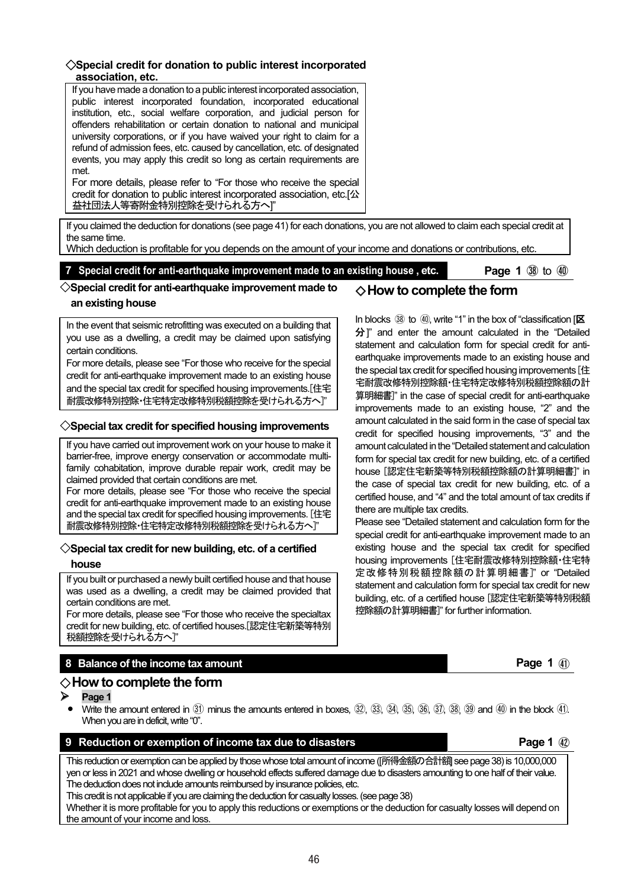#### ◇**Special credit for donation to public interest incorporated association, etc.**

If you have made a donation to a public interest incorporated association, public interest incorporated foundation, incorporated educational institution, etc., social welfare corporation, and judicial person for offenders rehabilitation or certain donation to national and municipal university corporations, or if you have waived your right to claim for a refund of admission fees, etc. caused by cancellation, etc. of designated events, you may apply this credit so long as certain requirements are met.

For more details, please refer to "For those who receive the special credit for donation to public interest incorporated association, etc.[公 益社団法人等寄附金特別控除を受けられる方へ]"

If you claimed the deduction for donations (see page 41) for each donations, you are not allowed to claim each special credit at the same time.

Which deduction is profitable for you depends on the amount of your income and donations or contributions, etc.

# **7** Special credit for anti-earthquake improvement made to an existing house, etc. **Page 1 3** to 40

#### ◇**Special credit for anti-earthquake improvement made to an existing house** ◇**How to complete the form**

In the event that seismic retrofitting was executed on a building that you use as a dwelling, a credit may be claimed upon satisfying certain conditions.

For more details, please see "For those who receive for the special credit for anti-earthquake improvement made to an existing house and the special tax credit for specified housing improvements.[住宅 耐震改修特別控除・住宅特定改修特別税額控除を受けられる方へ]"

### ◇**Special tax credit for specified housing improvements**

If you have carried out improvement work on your house to make it barrier-free, improve energy conservation or accommodate multifamily cohabitation, improve durable repair work, credit may be claimed provided that certain conditions are met.

For more details, please see "For those who receive the special credit for anti-earthquake improvement made to an existing house and the special tax credit for specified housing improvements. [住宅 耐震改修特別控除・住宅特定改修特別税額控除を受けられる方へ]"

# ◇**Special tax credit for new building, etc. of a certified**

#### **house**

If you built or purchased a newly built certified house and that house was used as a dwelling, a credit may be claimed provided that certain conditions are met.

For more details, please see "For those who receive the specialtax credit for new building, etc. of certified houses.[認定住宅新築等特別 税額控除を受けられる方へ]"

# **8 Balance of the income tax amount Page 1 All and Security Construction Construction Construction Page 1** (4)

# ◇**How to complete the form**

**Page 1** 

**Write the amount entered in** (31) minus the amounts entered in boxes, (32), (33), (34), (35), (36), (37), (38) (39) and (40) in the block (41). When you are in deficit, write "0".

# **9 Reduction or exemption of income tax due to disasters <b>Page 1 Page 1 Page 1** *Page 1*

This reduction or exemption can be applied by those whose total amount of income ([所得金額の合計額] see page 38) is 10,000,000 yen or less in 2021 and whose dwelling or household effects suffered damage due to disasters amounting to one half of their value. The deduction does not include amounts reimbursed by insurance policies, etc.

This credit is not applicable if you are claiming the deduction for casualty losses. (see page 38)

Whether it is more profitable for you to apply this reductions or exemptions or the deduction for casualty losses will depend on the amount of your income and loss.

In blocks  $30$  to  $40$ , write "1" in the box of "classification  $I\overline{X}$ 分]" and enter the amount calculated in the "Detailed statement and calculation form for special credit for antiearthquake improvements made to an existing house and the special tax credit for specified housing improvements [住 宅耐震改修特別控除額・住宅特定改修特別税額控除額の計 算明細書]" in the case of special credit for anti-earthquake improvements made to an existing house, "2" and the amount calculated in the said form in the case of special tax credit for specified housing improvements, "3" and the amount calculated in the "Detailed statement and calculation form for special tax credit for new building, etc. of a certified house [認定住宅新築等特別税額控除額の計算明細書]" in the case of special tax credit for new building, etc. of a certified house, and "4" and the total amount of tax credits if there are multiple tax credits.

Please see "Detailed statement and calculation form for the special credit for anti-earthquake improvement made to an existing house and the special tax credit for specified housing improvements [住宅耐震改修特別控除額・住宅特 定改修特別税額控除額の計算明細書]" or "Detailed statement and calculation form for special tax credit for new building, etc. of a certified house [認定住宅新築等特別税額 控除額の計算明細書]" for further information.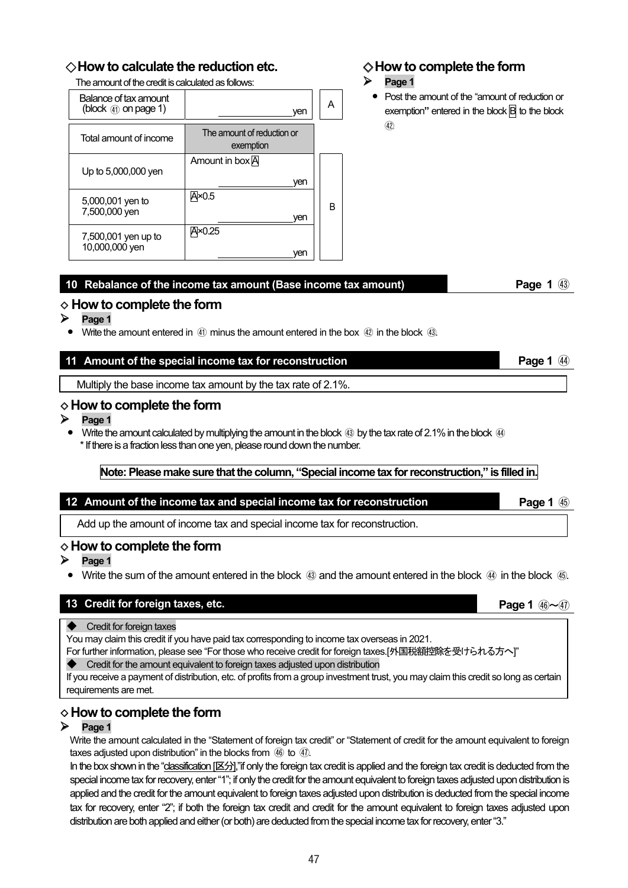# ◇**How to calculate the reduction etc.**

The amount of the credit is calculated as follows:

| Balance of tax amount<br>(block $\mathcal{A}_1$ ) on page 1) | ven                                     | А |
|--------------------------------------------------------------|-----------------------------------------|---|
| Total amount of income                                       | The amount of reduction or<br>exemption |   |
| Up to 5,000,000 yen                                          | Amount in box A<br>yen                  |   |
| 5,000,001 yen to<br>7,500,000 yen                            | $\overline{A}$ ×0.5<br>ven              | B |
| 7,500,001 yen up to<br>10,000,000 yen                        | A×0.25<br>ven                           |   |

# ◇**How to complete the form**

#### $\triangleright$  Page 1

**•** Post the amount of the "amount of reduction or exemption**"** entered in the block B to the block  $\Omega$ 

| 10 Rebalance of the income tax amount (Base income tax amount) | <b>Page 1 43</b> |
|----------------------------------------------------------------|------------------|
|                                                                |                  |

# ◇ **How to complete the form**

- $\triangleright$  **Page 1** 
	- Write the amount entered in  $\left(4\right)$  minus the amount entered in the box  $\left(4\right)$  in the block  $\left(43\right)$

# **11 Amount of the special income tax for reconstruction Page 1 Page 1 Page 1 Page 1 Page 1 Page 1 Page 1 Page 1 Page 1 Page 1 Page 1 Page 1 Page 1 Page 1 Page 1 Page 1 Page 1 Page 1 Pa**

Multiply the base income tax amount by the tax rate of 2.1%.

# ◇ **How to complete the form**

- $\triangleright$  Page 1
	- **Write the amount calculated by multiplying the amount in the block <b>⑧** by the tax rate of 2.1% in the block ④ \* If there is a fraction less than one yen, please round down the number.

### **Note: Please make sure that the column, "Special income tax for reconstruction," is filled in.**

# **12 Amount of the income tax and special income tax for reconstruction <b>Page 1** 46

Add up the amount of income tax and special income tax for reconstruction.

# ◇ **How to complete the form**

- **Page 1**
- Write the sum of the amount entered in the block 43 and the amount entered in the block 44 in the block 45.

# **13 Credit for foreign taxes, etc. Page 1**  $\bigcirc$  **Page 1**  $\bigcirc$  **Page 1**  $\bigcirc$  **Page 1**  $\bigcirc$  **Page 1**  $\bigcirc$  **Page 1**  $\bigcirc$

- ◆ Credit for foreign taxes
- You may claim this credit if you have paid tax corresponding to income tax overseas in 2021.
- For further information, please see "For those who receive credit for foreign taxes.[外国税額控除を受けられる方へ]"
- Credit for the amount equivalent to foreign taxes adjusted upon distribution

If you receive a payment of distribution, etc. of profits from a group investment trust, you may claim this credit so long as certain requirements are met.

# ◇ **How to complete the form**

#### $\triangleright$  **Page 1**

Write the amount calculated in the "Statement of foreign tax credit" or "Statement of credit for the amount equivalent to foreign taxes adjusted upon distribution" in the blocks from 46 to 47.

In the box shown in the "classification [区分],"if only the foreign tax credit is applied and the foreign tax credit is deducted from the special income tax for recovery, enter "1"; if only the credit for the amount equivalent to foreign taxes adjusted upon distribution is applied and the credit for the amount equivalent to foreign taxes adjusted upon distribution is deducted from the special income tax for recovery, enter "2"; if both the foreign tax credit and credit for the amount equivalent to foreign taxes adjusted upon distribution are both applied and either (or both) are deducted from the special income tax for recovery, enter "3."